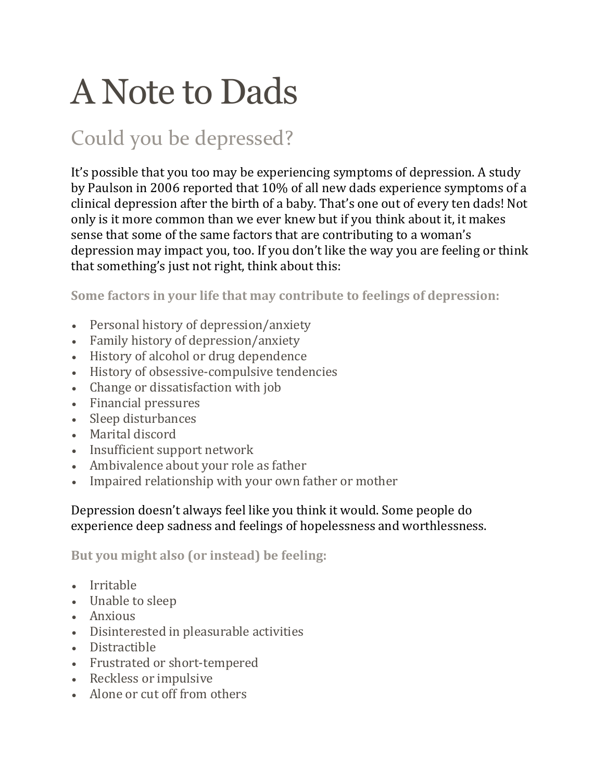# A Note to Dads

## Could you be depressed?

It's possible that you too may be experiencing symptoms of depression. A study by Paulson in 2006 reported that 10% of all new dads experience symptoms of a clinical depression after the birth of a baby. That's one out of every ten dads! Not only is it more common than we ever knew but if you think about it, it makes sense that some of the same factors that are contributing to a woman's depression may impact you, too. If you don't like the way you are feeling or think that something's just not right, think about this:

**Some factors in your life that may contribute to feelings of depression:**

- Personal history of depression/anxiety
- Family history of depression/anxiety
- History of alcohol or drug dependence
- History of obsessive-compulsive tendencies
- Change or dissatisfaction with job
- Financial pressures
- Sleep disturbances
- Marital discord
- Insufficient support network
- Ambivalence about your role as father
- Impaired relationship with your own father or mother

#### Depression doesn't always feel like you think it would. Some people do experience deep sadness and feelings of hopelessness and worthlessness.

#### **But you might also (or instead) be feeling:**

- Irritable
- Unable to sleep
- Anxious
- Disinterested in pleasurable activities
- Distractible
- Frustrated or short-tempered
- Reckless or impulsive
- Alone or cut off from others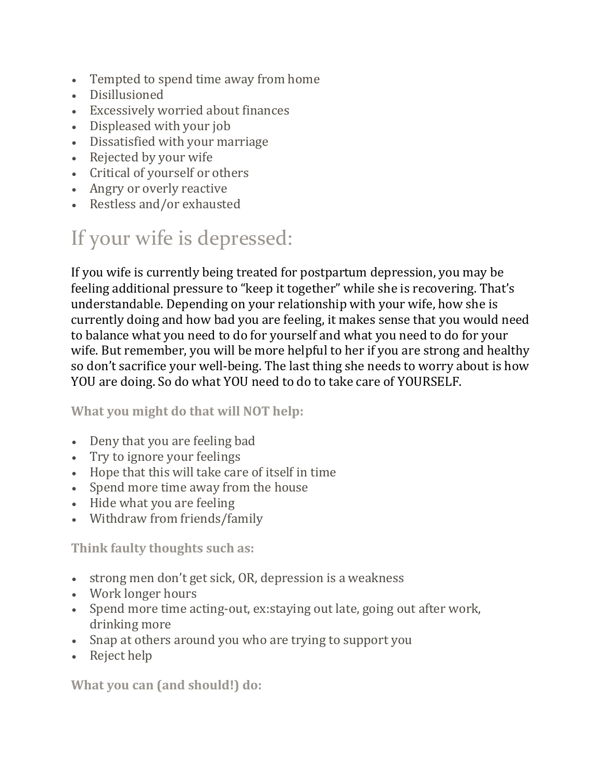- Tempted to spend time away from home
- Disillusioned
- Excessively worried about finances
- Displeased with your job
- Dissatisfied with your marriage
- Rejected by your wife
- Critical of yourself or others
- Angry or overly reactive
- Restless and/or exhausted

### If your wife is depressed:

If you wife is currently being treated for postpartum depression, you may be feeling additional pressure to "keep it together" while she is recovering. That's understandable. Depending on your relationship with your wife, how she is currently doing and how bad you are feeling, it makes sense that you would need to balance what you need to do for yourself and what you need to do for your wife. But remember, you will be more helpful to her if you are strong and healthy so don't sacrifice your well-being. The last thing she needs to worry about is how YOU are doing. So do what YOU need to do to take care of YOURSELF.

**What you might do that will NOT help:**

- Deny that you are feeling bad
- Try to ignore your feelings
- Hope that this will take care of itself in time
- Spend more time away from the house
- Hide what you are feeling
- Withdraw from friends/family

**Think faulty thoughts such as:**

- strong men don't get sick, OR, depression is a weakness
- Work longer hours
- Spend more time acting-out, ex:staying out late, going out after work, drinking more
- Snap at others around you who are trying to support you
- Reject help

**What you can (and should!) do:**